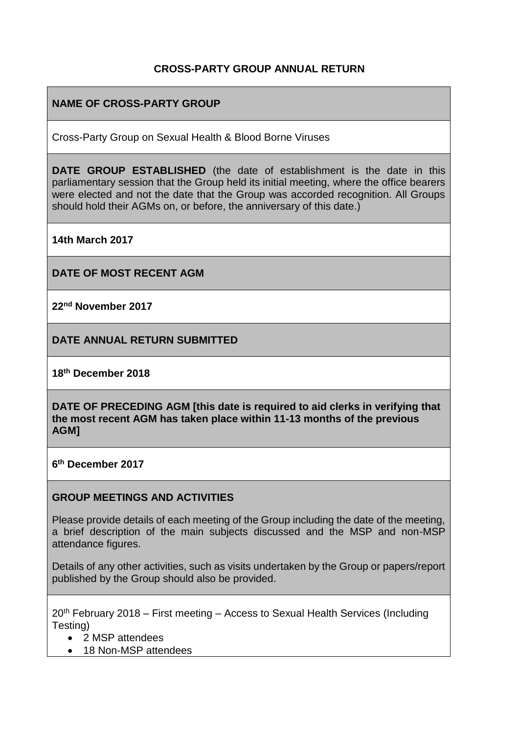#### **CROSS-PARTY GROUP ANNUAL RETURN**

## **NAME OF CROSS-PARTY GROUP**

Cross-Party Group on Sexual Health & Blood Borne Viruses

**DATE GROUP ESTABLISHED** (the date of establishment is the date in this parliamentary session that the Group held its initial meeting, where the office bearers were elected and not the date that the Group was accorded recognition. All Groups should hold their AGMs on, or before, the anniversary of this date.)

**14th March 2017**

**DATE OF MOST RECENT AGM**

**22nd November 2017**

**DATE ANNUAL RETURN SUBMITTED**

**18th December 2018**

**DATE OF PRECEDING AGM [this date is required to aid clerks in verifying that the most recent AGM has taken place within 11-13 months of the previous AGM]**

**6 th December 2017**

#### **GROUP MEETINGS AND ACTIVITIES**

Please provide details of each meeting of the Group including the date of the meeting, a brief description of the main subjects discussed and the MSP and non-MSP attendance figures.

Details of any other activities, such as visits undertaken by the Group or papers/report published by the Group should also be provided.

20th February 2018 – First meeting – Access to Sexual Health Services (Including Testing)

- 2 MSP attendees
- 18 Non-MSP attendees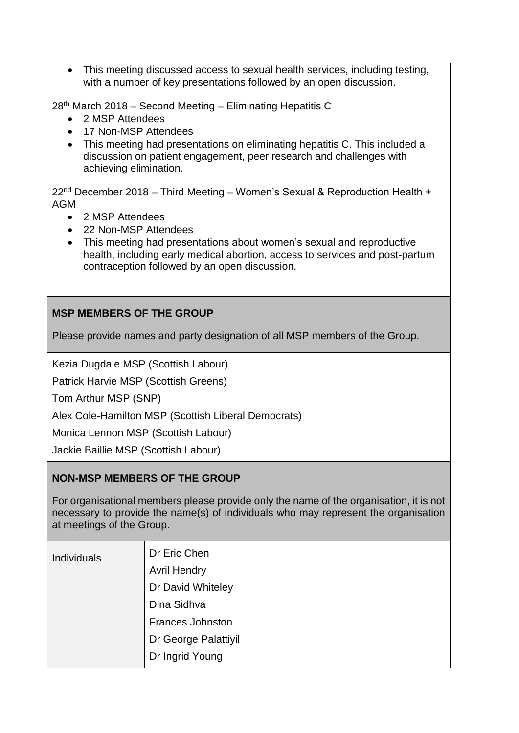• This meeting discussed access to sexual health services, including testing, with a number of key presentations followed by an open discussion.

28th March 2018 – Second Meeting – Eliminating Hepatitis C

- 2 MSP Attendees
- 17 Non-MSP Attendees
- This meeting had presentations on eliminating hepatitis C. This included a discussion on patient engagement, peer research and challenges with achieving elimination.

22nd December 2018 – Third Meeting – Women's Sexual & Reproduction Health + AGM

- 2 MSP Attendees
- 22 Non-MSP Attendees
- This meeting had presentations about women's sexual and reproductive health, including early medical abortion, access to services and post-partum contraception followed by an open discussion.

## **MSP MEMBERS OF THE GROUP**

Please provide names and party designation of all MSP members of the Group.

Kezia Dugdale MSP (Scottish Labour)

Patrick Harvie MSP (Scottish Greens)

Tom Arthur MSP (SNP)

Alex Cole-Hamilton MSP (Scottish Liberal Democrats)

Monica Lennon MSP (Scottish Labour)

Jackie Baillie MSP (Scottish Labour)

#### **NON-MSP MEMBERS OF THE GROUP**

For organisational members please provide only the name of the organisation, it is not necessary to provide the name(s) of individuals who may represent the organisation at meetings of the Group.

| Individuals | Dr Eric Chen            |
|-------------|-------------------------|
|             | <b>Avril Hendry</b>     |
|             | Dr David Whiteley       |
|             | Dina Sidhva             |
|             | <b>Frances Johnston</b> |
|             | Dr George Palattiyil    |
|             | Dr Ingrid Young         |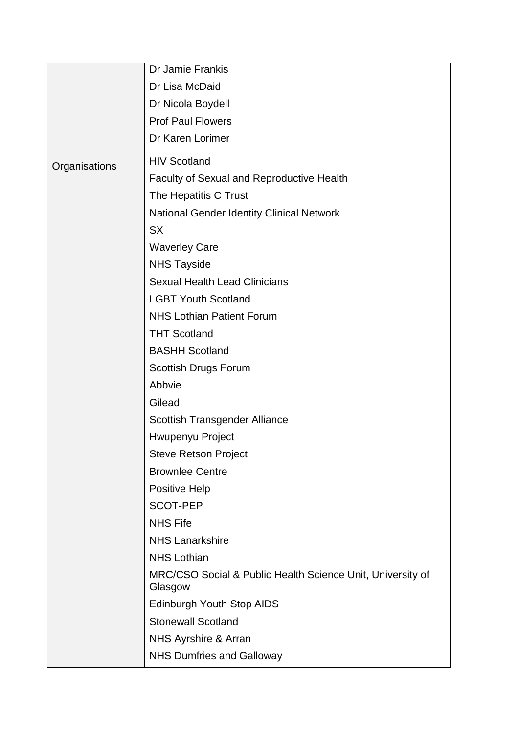|               | Dr Jamie Frankis                                                      |
|---------------|-----------------------------------------------------------------------|
|               | Dr Lisa McDaid                                                        |
|               | Dr Nicola Boydell                                                     |
|               | <b>Prof Paul Flowers</b>                                              |
|               | Dr Karen Lorimer                                                      |
| Organisations | <b>HIV Scotland</b>                                                   |
|               | Faculty of Sexual and Reproductive Health                             |
|               | The Hepatitis C Trust                                                 |
|               | <b>National Gender Identity Clinical Network</b>                      |
|               | <b>SX</b>                                                             |
|               | <b>Waverley Care</b>                                                  |
|               | <b>NHS Tayside</b>                                                    |
|               | <b>Sexual Health Lead Clinicians</b>                                  |
|               | <b>LGBT Youth Scotland</b>                                            |
|               | <b>NHS Lothian Patient Forum</b>                                      |
|               | <b>THT Scotland</b>                                                   |
|               | <b>BASHH Scotland</b>                                                 |
|               | Scottish Drugs Forum                                                  |
|               | Abbvie                                                                |
|               | Gilead                                                                |
|               | Scottish Transgender Alliance                                         |
|               | Hwupenyu Project                                                      |
|               | Steve Retson Project                                                  |
|               | <b>Brownlee Centre</b>                                                |
|               | <b>Positive Help</b>                                                  |
|               | <b>SCOT-PEP</b>                                                       |
|               | <b>NHS Fife</b>                                                       |
|               | <b>NHS Lanarkshire</b>                                                |
|               | <b>NHS Lothian</b>                                                    |
|               | MRC/CSO Social & Public Health Science Unit, University of<br>Glasgow |
|               | Edinburgh Youth Stop AIDS                                             |
|               | <b>Stonewall Scotland</b>                                             |
|               | NHS Ayrshire & Arran                                                  |
|               | <b>NHS Dumfries and Galloway</b>                                      |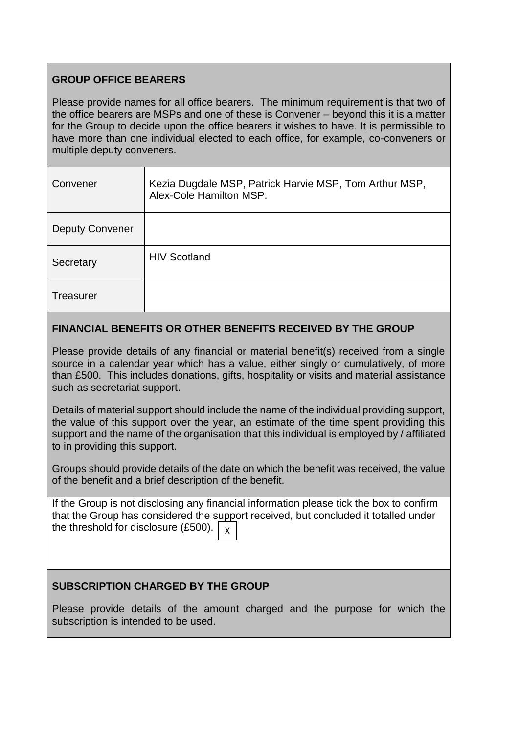## **GROUP OFFICE BEARERS**

Please provide names for all office bearers. The minimum requirement is that two of the office bearers are MSPs and one of these is Convener – beyond this it is a matter for the Group to decide upon the office bearers it wishes to have. It is permissible to have more than one individual elected to each office, for example, co-conveners or multiple deputy conveners.

| Convener               | Kezia Dugdale MSP, Patrick Harvie MSP, Tom Arthur MSP,<br>Alex-Cole Hamilton MSP. |
|------------------------|-----------------------------------------------------------------------------------|
| <b>Deputy Convener</b> |                                                                                   |
| Secretary              | <b>HIV Scotland</b>                                                               |
| <b>Treasurer</b>       |                                                                                   |

#### **FINANCIAL BENEFITS OR OTHER BENEFITS RECEIVED BY THE GROUP**

Please provide details of any financial or material benefit(s) received from a single source in a calendar year which has a value, either singly or cumulatively, of more than £500. This includes donations, gifts, hospitality or visits and material assistance such as secretariat support.

Details of material support should include the name of the individual providing support, the value of this support over the year, an estimate of the time spent providing this support and the name of the organisation that this individual is employed by / affiliated to in providing this support.

Groups should provide details of the date on which the benefit was received, the value of the benefit and a brief description of the benefit.

If the Group is not disclosing any financial information please tick the box to confirm that the Group has considered the support received, but concluded it totalled under the threshold for disclosure (£500). X

#### **SUBSCRIPTION CHARGED BY THE GROUP**

Please provide details of the amount charged and the purpose for which the subscription is intended to be used.